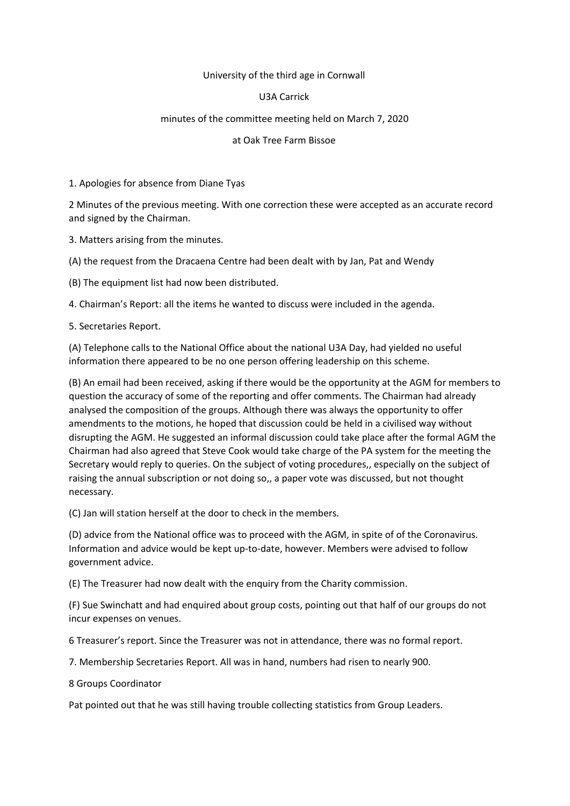## University of the third age in Cornwall

## U3A Carrick

## minutes of the committee meeting held on March 7, 2020

## at Oak Tree Farm Bissoe

1. Apologies for absence from Diane Tyas

2 Minutes of the previous meeting. With one correction these were accepted as an accurate record and signed by the Chairman.

3. Matters arising from the minutes.

(A) the request from the Dracaena Centre had been dealt with by Jan, Pat and Wendy

(B) The equipment list had now been distributed.

4. Chairman's Report: all the items he wanted to discuss were included in the agenda.

5. Secretaries Report.

(A) Telephone calls to the National Office about the national U3A Day, had yielded no useful information there appeared to be no one person offering leadership on this scheme.

(B) An email had been received, asking if there would be the opportunity at the AGM for members to question the accuracy of some of the reporting and offer comments. The Chairman had already analysed the composition of the groups. Although there was always the opportunity to offer amendments to the motions, he hoped that discussion could be held in a civilised way without disrupting the AGM. He suggested an informal discussion could take place after the formal AGM the Chairman had also agreed that Steve Cook would take charge of the PA system for the meeting the Secretary would reply to queries. On the subject of voting procedures,, especially on the subject of raising the annual subscription or not doing so,, a paper vote was discussed, but not thought necessary.

(C) Jan will station herself at the door to check in the members.

(D) advice from the National office was to proceed with the AGM, in spite of of the Coronavirus. Information and advice would be kept up-to-date, however. Members were advised to follow government advice.

(E) The Treasurer had now dealt with the enquiry from the Charity commission.

(F) Sue Swinchatt and had enquired about group costs, pointing out that half of our groups do not incur expenses on venues.

6 Treasurer's report. Since the Treasurer was not in attendance, there was no formal report.

7. Membership Secretaries Report. All was in hand, numbers had risen to nearly 900.

8 Groups Coordinator

Pat pointed out that he was still having trouble collecting statistics from Group Leaders.